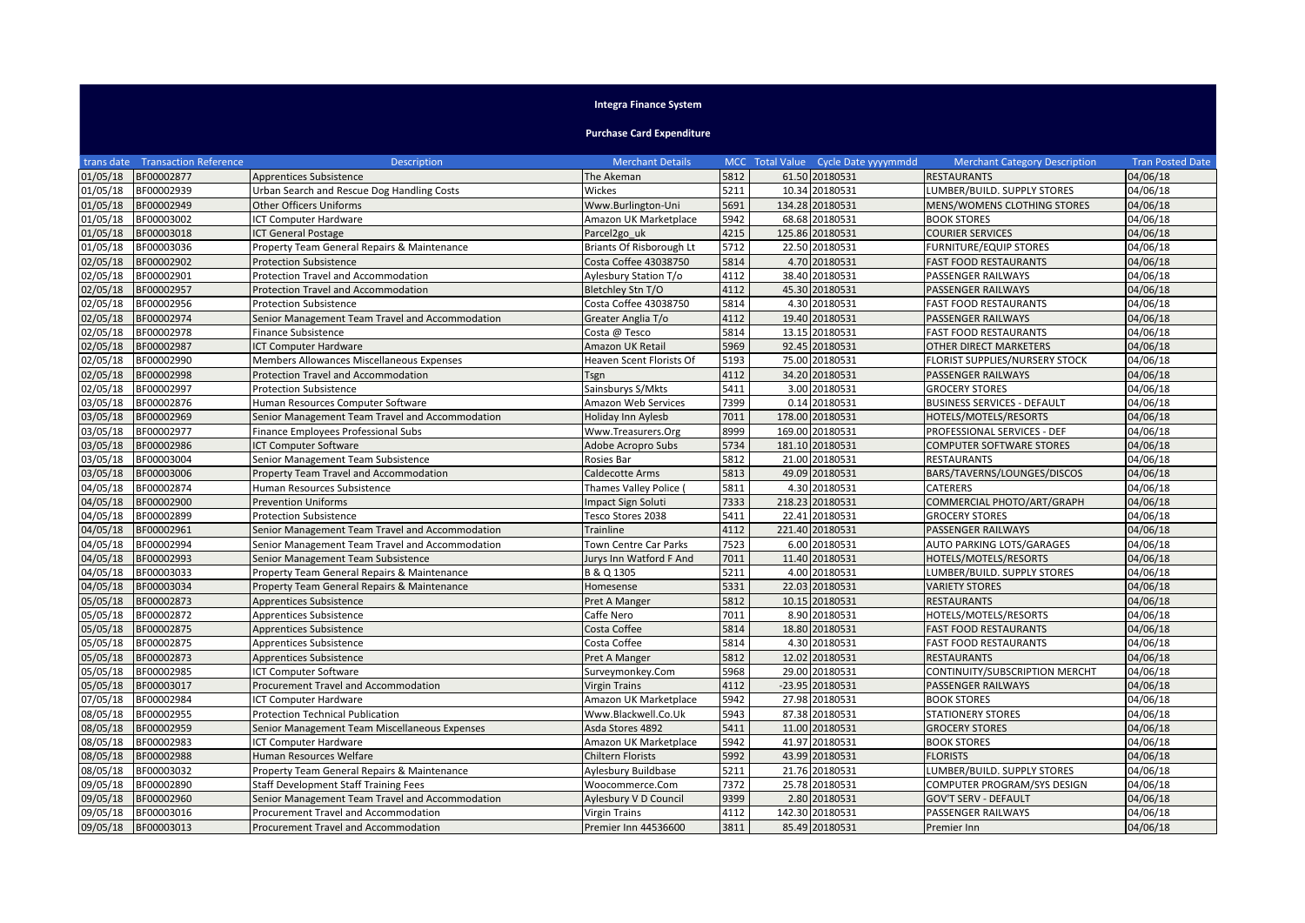## **Integra Finance System**

**Purchase Card Expenditure**

|                     | trans date Transaction Reference | <b>Description</b>                               | <b>Merchant Details</b>         |      | MCC Total Value Cycle Date yyyymmdd | <b>Merchant Category Description</b> | <b>Tran Posted Date</b> |
|---------------------|----------------------------------|--------------------------------------------------|---------------------------------|------|-------------------------------------|--------------------------------------|-------------------------|
| 01/05/18            | BF00002877                       | <b>Apprentices Subsistence</b>                   | The Akeman                      | 5812 | 61.50 20180531                      | <b>RESTAURANTS</b>                   | 04/06/18                |
| 01/05/18            | BF00002939                       | Urban Search and Rescue Dog Handling Costs       | Wickes                          | 5211 | 10.34 20180531                      | LUMBER/BUILD. SUPPLY STORES          | 04/06/18                |
| 01/05/18            | BF00002949                       | <b>Other Officers Uniforms</b>                   | Www.Burlington-Uni              | 5691 | 134.28 20180531                     | MENS/WOMENS CLOTHING STORES          | 04/06/18                |
| 01/05/18            | BF00003002                       | ICT Computer Hardware                            | Amazon UK Marketplace           | 5942 | 68.68 20180531                      | <b>BOOK STORES</b>                   | 04/06/18                |
| 01/05/18            | BF00003018                       | <b>ICT General Postage</b>                       | Parcel <sub>2go uk</sub>        | 4215 | 125.86 20180531                     | <b>COURIER SERVICES</b>              | 04/06/18                |
| 01/05/18            | BF00003036                       | Property Team General Repairs & Maintenance      | <b>Briants Of Risborough Lt</b> | 5712 | 22.50 20180531                      | <b>FURNITURE/EQUIP STORES</b>        | 04/06/18                |
| 02/05/18            | BF00002902                       | <b>Protection Subsistence</b>                    | Costa Coffee 43038750           | 5814 | 4.70 20180531                       | <b>FAST FOOD RESTAURANTS</b>         | 04/06/18                |
| 02/05/18            | BF00002901                       | Protection Travel and Accommodation              | Aylesbury Station T/o           | 4112 | 38.40 20180531                      | PASSENGER RAILWAYS                   | 04/06/18                |
| 02/05/18            | BF00002957                       | Protection Travel and Accommodation              | Bletchley Stn T/O               | 4112 | 45.30 20180531                      | <b>PASSENGER RAILWAYS</b>            | 04/06/18                |
| 02/05/18            | BF00002956                       | <b>Protection Subsistence</b>                    | Costa Coffee 43038750           | 5814 | 4.30 20180531                       | <b>FAST FOOD RESTAURANTS</b>         | 04/06/18                |
| 02/05/18            | BF00002974                       | Senior Management Team Travel and Accommodation  | Greater Anglia T/o              | 4112 | 19.40 20180531                      | <b>PASSENGER RAILWAYS</b>            | 04/06/18                |
| 02/05/18            | BF00002978                       | <b>Finance Subsistence</b>                       | Costa @ Tesco                   | 5814 | 13.15 20180531                      | <b>FAST FOOD RESTAURANTS</b>         | 04/06/18                |
| 02/05/18            | BF00002987                       | ICT Computer Hardware                            | Amazon UK Retail                | 5969 | 92.45 20180531                      | OTHER DIRECT MARKETERS               | 04/06/18                |
| 02/05/18            | BF00002990                       | <b>Members Allowances Miscellaneous Expenses</b> | Heaven Scent Florists Of        | 5193 | 75.00 20180531                      | FLORIST SUPPLIES/NURSERY STOCK       | 04/06/18                |
| 02/05/18            | BF00002998                       | Protection Travel and Accommodation              | Tsgn                            | 4112 | 34.20 20180531                      | PASSENGER RAILWAYS                   | 04/06/18                |
| 02/05/18            | BF00002997                       | <b>Protection Subsistence</b>                    | Sainsburys S/Mkts               | 5411 | 3.00 20180531                       | <b>GROCERY STORES</b>                | 04/06/18                |
| 03/05/18            | BF00002876                       | Human Resources Computer Software                | Amazon Web Services             | 7399 | 0.14 20180531                       | <b>BUSINESS SERVICES - DEFAULT</b>   | 04/06/18                |
| 03/05/18            | BF00002969                       | Senior Management Team Travel and Accommodation  | Holiday Inn Aylesb              | 7011 | 178.00 20180531                     | HOTELS/MOTELS/RESORTS                | 04/06/18                |
| 03/05/18            | BF00002977                       | Finance Employees Professional Subs              | Www.Treasurers.Org              | 8999 | 169.00 20180531                     | PROFESSIONAL SERVICES - DEF          | 04/06/18                |
| 03/05/18            | BF00002986                       | ICT Computer Software                            | Adobe Acropro Subs              | 5734 | 181.10 20180531                     | <b>COMPUTER SOFTWARE STORES</b>      | 04/06/18                |
| 03/05/18            | BF00003004                       | Senior Management Team Subsistence               | Rosies Bar                      | 5812 | 21.00 20180531                      | <b>RESTAURANTS</b>                   | 04/06/18                |
| 03/05/18            | BF00003006                       | Property Team Travel and Accommodation           | Caldecotte Arms                 | 5813 | 49.09 20180531                      | BARS/TAVERNS/LOUNGES/DISCOS          | 04/06/18                |
| 04/05/18            | BF00002874                       | Human Resources Subsistence                      | Thames Valley Police (          | 5811 | 4.30 20180531                       | <b>CATERERS</b>                      | 04/06/18                |
| 04/05/18            | BF00002900                       | <b>Prevention Uniforms</b>                       | <b>Impact Sign Soluti</b>       | 7333 | 218.23 20180531                     | COMMERCIAL PHOTO/ART/GRAPH           | 04/06/18                |
| 04/05/18            | BF00002899                       | <b>Protection Subsistence</b>                    | Tesco Stores 2038               | 5411 | 22.41 20180531                      | <b>GROCERY STORES</b>                | 04/06/18                |
| 04/05/18            | BF00002961                       | Senior Management Team Travel and Accommodation  | Trainline                       | 4112 | 221.40 20180531                     | PASSENGER RAILWAYS                   | 04/06/18                |
| 04/05/18            | BF00002994                       | Senior Management Team Travel and Accommodation  | <b>Town Centre Car Parks</b>    | 7523 | 6.00 20180531                       | AUTO PARKING LOTS/GARAGES            | 04/06/18                |
| 04/05/18            | BF00002993                       | Senior Management Team Subsistence               | Jurys Inn Watford F And         | 7011 | 11.40 20180531                      | HOTELS/MOTELS/RESORTS                | 04/06/18                |
| 04/05/18            | BF00003033                       | Property Team General Repairs & Maintenance      | B & Q 1305                      | 5211 | 4.00 20180531                       | LUMBER/BUILD. SUPPLY STORES          | 04/06/18                |
| 04/05/18            | BF00003034                       | Property Team General Repairs & Maintenance      | Homesense                       | 5331 | 22.03 20180531                      | <b>VARIETY STORES</b>                | 04/06/18                |
| 05/05/18            | BF00002873                       | Apprentices Subsistence                          | Pret A Manger                   | 5812 | 10.15 20180531                      | <b>RESTAURANTS</b>                   | 04/06/18                |
| 05/05/18            | BF00002872                       | Apprentices Subsistence                          | Caffe Nero                      | 7011 | 8.90 20180531                       | HOTELS/MOTELS/RESORTS                | 04/06/18                |
| 05/05/18            | BF00002875                       | <b>Apprentices Subsistence</b>                   | Costa Coffee                    | 5814 | 18.80 20180531                      | <b>FAST FOOD RESTAURANTS</b>         | 04/06/18                |
| 05/05/18            | BF00002875                       | Apprentices Subsistence                          | Costa Coffee                    | 5814 | 4.30 20180531                       | <b>FAST FOOD RESTAURANTS</b>         | 04/06/18                |
| 05/05/18            | BF00002873                       | <b>Apprentices Subsistence</b>                   | Pret A Manger                   | 5812 | 12.02 20180531                      | <b>RESTAURANTS</b>                   | 04/06/18                |
| 05/05/18            | BF00002985                       | ICT Computer Software                            | Surveymonkey.Com                | 5968 | 29.00 20180531                      | CONTINUITY/SUBSCRIPTION MERCHT       | 04/06/18                |
| 05/05/18            | BF00003017                       | Procurement Travel and Accommodation             | <b>Virgin Trains</b>            | 4112 | -23.95 20180531                     | PASSENGER RAILWAYS                   | 04/06/18                |
| 07/05/18            | BF00002984                       | ICT Computer Hardware                            | Amazon UK Marketplace           | 5942 | 27.98 20180531                      | <b>BOOK STORES</b>                   | 04/06/18                |
| 08/05/18            | BF00002955                       | Protection Technical Publication                 | Www.Blackwell.Co.Uk             | 5943 | 87.38 20180531                      | <b>STATIONERY STORES</b>             | 04/06/18                |
| 08/05/18            | BF00002959                       | Senior Management Team Miscellaneous Expenses    | Asda Stores 4892                | 5411 | 11.00 20180531                      | <b>GROCERY STORES</b>                | 04/06/18                |
| 08/05/18            | BF00002983                       | ICT Computer Hardware                            | Amazon UK Marketplace           | 5942 | 41.97 20180531                      | <b>BOOK STORES</b>                   | 04/06/18                |
| 08/05/18            | BF00002988                       | Human Resources Welfare                          | Chiltern Florists               | 5992 | 43.99 20180531                      | <b>FLORISTS</b>                      | 04/06/18                |
| 08/05/18            | BF00003032                       | Property Team General Repairs & Maintenance      | Aylesbury Buildbase             | 5211 | 21.76 20180531                      | LUMBER/BUILD. SUPPLY STORES          | 04/06/18                |
| 09/05/18            | BF00002890                       | Staff Development Staff Training Fees            | Woocommerce.Com                 | 7372 | 25.78 20180531                      | COMPUTER PROGRAM/SYS DESIGN          | 04/06/18                |
| 09/05/18            | BF00002960                       | Senior Management Team Travel and Accommodation  | Aylesbury V D Council           | 9399 | 2.80 20180531                       | <b>GOV'T SERV - DEFAULT</b>          | 04/06/18                |
| 09/05/18            | BF00003016                       | Procurement Travel and Accommodation             | <b>Virgin Trains</b>            | 4112 | 142.30 20180531                     | PASSENGER RAILWAYS                   | 04/06/18                |
| 09/05/18 BF00003013 |                                  | Procurement Travel and Accommodation             | Premier Inn 44536600            | 3811 | 85.49 20180531                      | Premier Inn                          | 04/06/18                |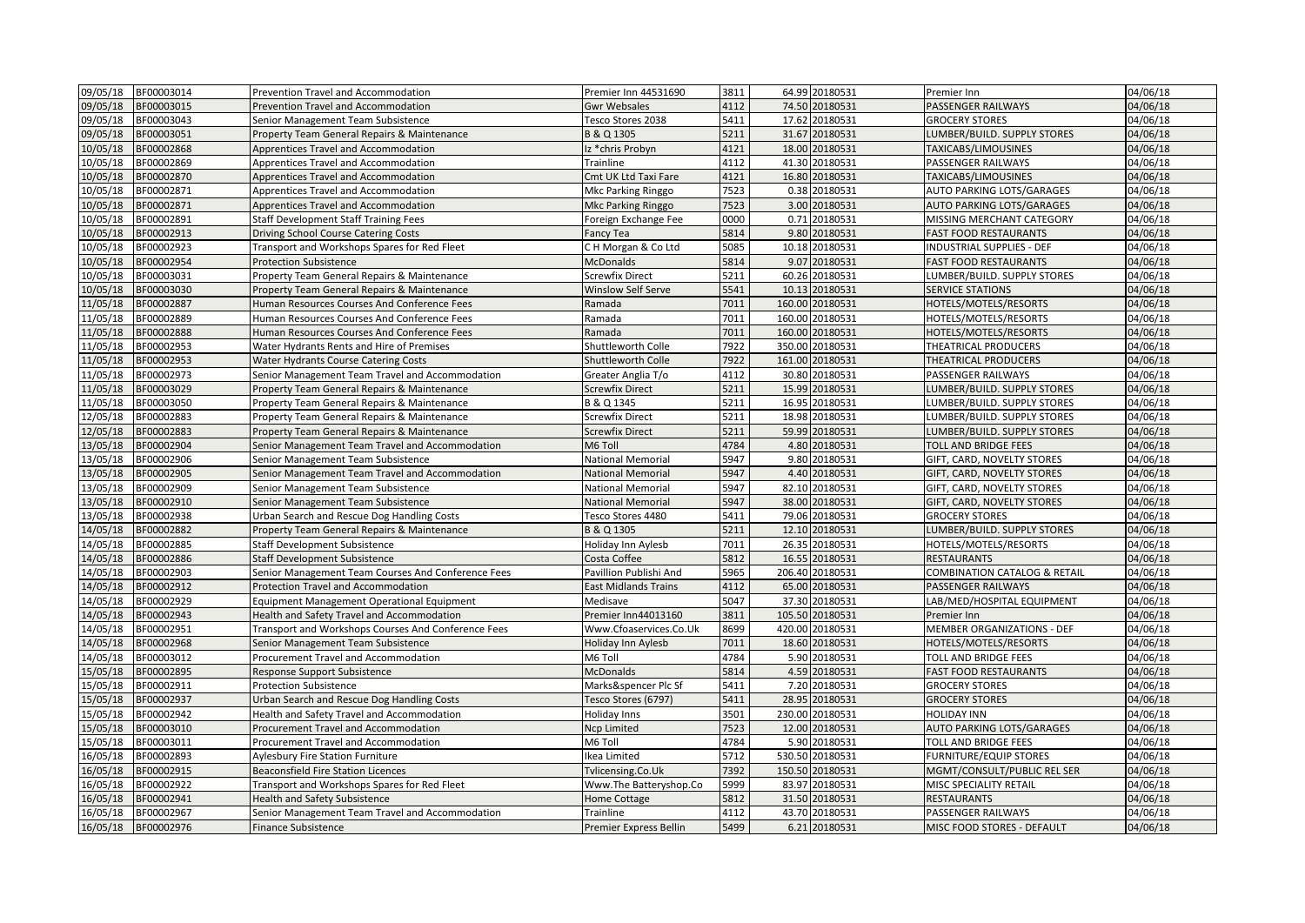| 09/05/18<br>BF00003014 | Prevention Travel and Accommodation                 | Premier Inn 44531690        | 3811 | 64.99 20180531  | Premier Inn                             | 04/06/18 |
|------------------------|-----------------------------------------------------|-----------------------------|------|-----------------|-----------------------------------------|----------|
| 09/05/18<br>BF00003015 | Prevention Travel and Accommodation                 | <b>Gwr Websales</b>         | 4112 | 74.50 20180531  | PASSENGER RAILWAYS                      | 04/06/18 |
| 09/05/18<br>BF00003043 | Senior Management Team Subsistence                  | Tesco Stores 2038           | 5411 | 17.62 20180531  | <b>GROCERY STORES</b>                   | 04/06/18 |
| 09/05/18<br>BF00003051 | Property Team General Repairs & Maintenance         | B & Q 1305                  | 5211 | 31.67 20180531  | LUMBER/BUILD. SUPPLY STORES             | 04/06/18 |
| 10/05/18<br>BF00002868 | Apprentices Travel and Accommodation                | Iz *chris Probyn            | 4121 | 18.00 20180531  | TAXICABS/LIMOUSINES                     | 04/06/18 |
| 10/05/18<br>BF00002869 | Apprentices Travel and Accommodation                | Trainline                   | 4112 | 41.30 20180531  | PASSENGER RAILWAYS                      | 04/06/18 |
| 10/05/18<br>BF00002870 | Apprentices Travel and Accommodation                | Cmt UK Ltd Taxi Fare        | 4121 | 16.80 20180531  | TAXICABS/LIMOUSINES                     | 04/06/18 |
| 10/05/18<br>BF00002871 | Apprentices Travel and Accommodation                | Mkc Parking Ringgo          | 7523 | 0.38 20180531   | AUTO PARKING LOTS/GARAGES               | 04/06/18 |
| 10/05/18<br>BF00002871 | Apprentices Travel and Accommodation                | <b>Mkc Parking Ringgo</b>   | 7523 | 3.00 20180531   | <b>AUTO PARKING LOTS/GARAGES</b>        | 04/06/18 |
| 10/05/18<br>BF00002891 | <b>Staff Development Staff Training Fees</b>        | Foreign Exchange Fee        | 0000 | 0.71 20180531   | MISSING MERCHANT CATEGORY               | 04/06/18 |
| 10/05/18<br>BF00002913 | Driving School Course Catering Costs                | Fancy Tea                   | 5814 | 9.80 20180531   | <b>FAST FOOD RESTAURANTS</b>            | 04/06/18 |
| 10/05/18<br>BF00002923 | Transport and Workshops Spares for Red Fleet        | CH Morgan & Co Ltd          | 5085 | 10.18 20180531  | INDUSTRIAL SUPPLIES - DEF               | 04/06/18 |
| 10/05/18<br>BF00002954 | <b>Protection Subsistence</b>                       | <b>McDonalds</b>            | 5814 | 9.07 20180531   | <b>FAST FOOD RESTAURANTS</b>            | 04/06/18 |
| 10/05/18<br>BF00003031 | Property Team General Repairs & Maintenance         | <b>Screwfix Direct</b>      | 5211 | 60.26 20180531  | LUMBER/BUILD. SUPPLY STORES             | 04/06/18 |
| 10/05/18<br>BF00003030 | Property Team General Repairs & Maintenance         | Winslow Self Serve          | 5541 | 10.13 20180531  | <b>SERVICE STATIONS</b>                 | 04/06/18 |
| 11/05/18<br>BF00002887 | Human Resources Courses And Conference Fees         | Ramada                      | 7011 | 160.00 20180531 | HOTELS/MOTELS/RESORTS                   | 04/06/18 |
| 11/05/18<br>BF00002889 | Human Resources Courses And Conference Fees         | Ramada                      | 7011 | 160.00 20180531 | HOTELS/MOTELS/RESORTS                   | 04/06/18 |
| 11/05/18<br>BF00002888 | Human Resources Courses And Conference Fees         | Ramada                      | 7011 | 160.00 20180531 | HOTELS/MOTELS/RESORTS                   | 04/06/18 |
| 11/05/18<br>BF00002953 | Water Hydrants Rents and Hire of Premises           | Shuttleworth Colle          | 7922 | 350.00 20180531 | THEATRICAL PRODUCERS                    | 04/06/18 |
| 11/05/18<br>BF00002953 | Water Hydrants Course Catering Costs                | <b>Shuttleworth Colle</b>   | 7922 | 161.00 20180531 | THEATRICAL PRODUCERS                    | 04/06/18 |
| 11/05/18<br>BF00002973 | Senior Management Team Travel and Accommodation     | Greater Anglia T/o          | 4112 | 30.80 20180531  | PASSENGER RAILWAYS                      | 04/06/18 |
| 11/05/18<br>BF00003029 | Property Team General Repairs & Maintenance         | <b>Screwfix Direct</b>      | 5211 | 15.99 20180531  | LUMBER/BUILD. SUPPLY STORES             | 04/06/18 |
| 11/05/18<br>BF00003050 | Property Team General Repairs & Maintenance         | B & Q 1345                  | 5211 | 16.95 20180531  | LUMBER/BUILD. SUPPLY STORES             | 04/06/18 |
| 12/05/18<br>BF00002883 | Property Team General Repairs & Maintenance         | <b>Screwfix Direct</b>      | 5211 | 18.98 20180531  | LUMBER/BUILD. SUPPLY STORES             | 04/06/18 |
| 12/05/18<br>BF00002883 | Property Team General Repairs & Maintenance         | <b>Screwfix Direct</b>      | 5211 | 59.99 20180531  | LUMBER/BUILD. SUPPLY STORES             | 04/06/18 |
| 13/05/18<br>BF00002904 | Senior Management Team Travel and Accommodation     | M6 Toll                     | 4784 | 4.80 20180531   | TOLL AND BRIDGE FEES                    | 04/06/18 |
| 13/05/18<br>BF00002906 | Senior Management Team Subsistence                  | National Memorial           | 5947 | 9.80 20180531   | GIFT, CARD, NOVELTY STORES              | 04/06/18 |
| 13/05/18<br>BF00002905 | Senior Management Team Travel and Accommodation     | <b>National Memorial</b>    | 5947 | 4.40 20180531   | GIFT, CARD, NOVELTY STORES              | 04/06/18 |
| 13/05/18<br>BF00002909 | Senior Management Team Subsistence                  | <b>National Memorial</b>    | 5947 | 82.10 20180531  | GIFT, CARD, NOVELTY STORES              | 04/06/18 |
| 13/05/18<br>BF00002910 | Senior Management Team Subsistence                  | <b>National Memorial</b>    | 5947 | 38.00 20180531  | GIFT, CARD, NOVELTY STORES              | 04/06/18 |
| 13/05/18<br>BF00002938 | Urban Search and Rescue Dog Handling Costs          | Tesco Stores 4480           | 5411 | 79.06 20180531  | <b>GROCERY STORES</b>                   | 04/06/18 |
| 14/05/18<br>BF00002882 | Property Team General Repairs & Maintenance         | B & Q 1305                  | 5211 | 12.10 20180531  | LUMBER/BUILD. SUPPLY STORES             | 04/06/18 |
| 14/05/18<br>BF00002885 | <b>Staff Development Subsistence</b>                | Holiday Inn Aylesb          | 7011 | 26.35 20180531  | HOTELS/MOTELS/RESORTS                   | 04/06/18 |
| 14/05/18<br>BF00002886 | <b>Staff Development Subsistence</b>                | Costa Coffee                | 5812 | 16.55 20180531  | <b>RESTAURANTS</b>                      | 04/06/18 |
| 14/05/18<br>BF00002903 | Senior Management Team Courses And Conference Fees  | Pavillion Publishi And      | 5965 | 206.40 20180531 | <b>COMBINATION CATALOG &amp; RETAIL</b> | 04/06/18 |
| 14/05/18<br>BF00002912 | Protection Travel and Accommodation                 | <b>East Midlands Trains</b> | 4112 | 65.00 20180531  | PASSENGER RAILWAYS                      | 04/06/18 |
| 14/05/18<br>BF00002929 | Equipment Management Operational Equipment          | Medisave                    | 5047 | 37.30 20180531  | LAB/MED/HOSPITAL EQUIPMENT              | 04/06/18 |
| 14/05/18<br>BF00002943 | Health and Safety Travel and Accommodation          | Premier Inn44013160         | 3811 | 105.50 20180531 | Premier Inn                             | 04/06/18 |
| 14/05/18<br>BF00002951 | Transport and Workshops Courses And Conference Fees | Www.Cfoaservices.Co.Uk      | 8699 | 420.00 20180531 | MEMBER ORGANIZATIONS - DEF              | 04/06/18 |
| 14/05/18<br>BF00002968 | Senior Management Team Subsistence                  | Holiday Inn Aylesb          | 7011 | 18.60 20180531  | HOTELS/MOTELS/RESORTS                   | 04/06/18 |
| 14/05/18<br>BF00003012 | Procurement Travel and Accommodation                | M6 Toll                     | 4784 | 5.90 20180531   | <b>TOLL AND BRIDGE FEES</b>             | 04/06/18 |
| 15/05/18<br>BF00002895 | Response Support Subsistence                        | <b>McDonalds</b>            | 5814 | 4.59 20180531   | <b>FAST FOOD RESTAURANTS</b>            | 04/06/18 |
| 15/05/18<br>BF00002911 | <b>Protection Subsistence</b>                       | Marks&spencer Plc Sf        | 5411 | 7.20 20180531   | <b>GROCERY STORES</b>                   | 04/06/18 |
| 15/05/18<br>BF00002937 | Urban Search and Rescue Dog Handling Costs          | Tesco Stores (6797)         | 5411 | 28.95 20180531  | <b>GROCERY STORES</b>                   | 04/06/18 |
| 15/05/18<br>BF00002942 | Health and Safety Travel and Accommodation          | Holiday Inns                | 3501 | 230.00 20180531 | <b>HOLIDAY INN</b>                      | 04/06/18 |
| 15/05/18<br>BF00003010 | Procurement Travel and Accommodation                | <b>Ncp Limited</b>          | 7523 | 12.00 20180531  | AUTO PARKING LOTS/GARAGES               | 04/06/18 |
| 15/05/18<br>BF00003011 | Procurement Travel and Accommodation                | M6 Toll                     | 4784 | 5.90 20180531   | <b>TOLL AND BRIDGE FEES</b>             | 04/06/18 |
| 16/05/18<br>BF00002893 | <b>Aylesbury Fire Station Furniture</b>             | Ikea Limited                | 5712 | 530.50 20180531 | <b>FURNITURE/EQUIP STORES</b>           | 04/06/18 |
| 16/05/18<br>BF00002915 | <b>Beaconsfield Fire Station Licences</b>           | Tvlicensing.Co.Uk           | 7392 | 150.50 20180531 | MGMT/CONSULT/PUBLIC REL SER             | 04/06/18 |
| 16/05/18<br>BF00002922 | Transport and Workshops Spares for Red Fleet        | Www.The Batteryshop.Co      | 5999 | 83.97 20180531  | MISC SPECIALITY RETAIL                  | 04/06/18 |
| 16/05/18<br>BF00002941 | Health and Safety Subsistence                       | <b>Home Cottage</b>         | 5812 | 31.50 20180531  | <b>RESTAURANTS</b>                      | 04/06/18 |
| 16/05/18<br>BF00002967 | Senior Management Team Travel and Accommodation     | Trainline                   | 4112 | 43.70 20180531  | PASSENGER RAILWAYS                      | 04/06/18 |
| 16/05/18<br>BF00002976 | <b>Finance Subsistence</b>                          | Premier Express Bellin      | 5499 | 6.21 20180531   | MISC FOOD STORES - DEFAULT              | 04/06/18 |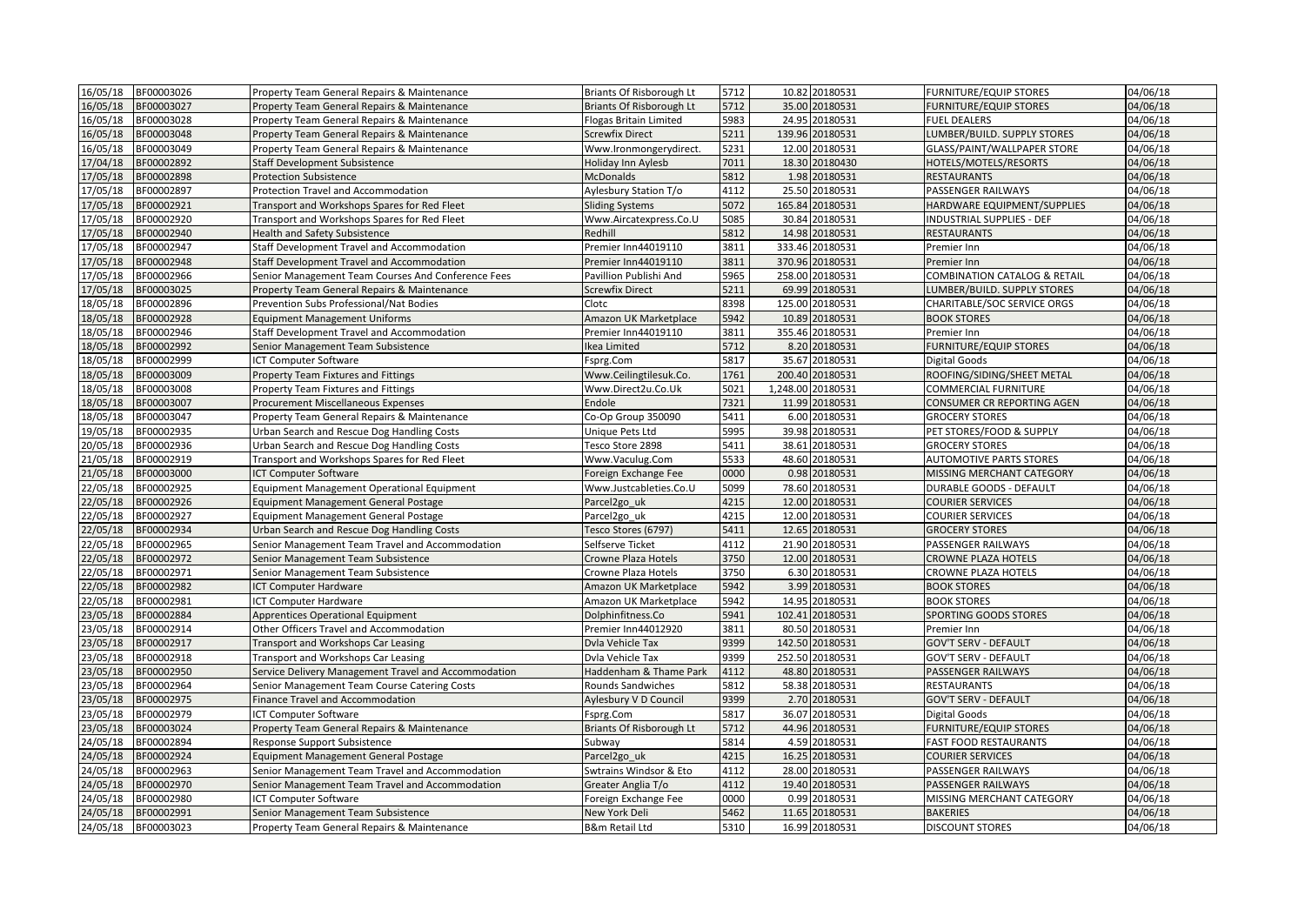| 16/05/18 | BF00003026 | Property Team General Repairs & Maintenance          | Briants Of Risborough Lt        | 5712 | 10.82 20180531    | <b>FURNITURE/EQUIP STORES</b>           | 04/06/18 |
|----------|------------|------------------------------------------------------|---------------------------------|------|-------------------|-----------------------------------------|----------|
| 16/05/18 | BF00003027 | Property Team General Repairs & Maintenance          | Briants Of Risborough Lt        | 5712 | 35.00 20180531    | <b>FURNITURE/EQUIP STORES</b>           | 04/06/18 |
| 16/05/18 | BF00003028 | Property Team General Repairs & Maintenance          | Flogas Britain Limited          | 5983 | 24.95 20180531    | <b>FUEL DEALERS</b>                     | 04/06/18 |
| 16/05/18 | BF00003048 | Property Team General Repairs & Maintenance          | <b>Screwfix Direct</b>          | 5211 | 139.96 20180531   | LUMBER/BUILD. SUPPLY STORES             | 04/06/18 |
| 16/05/18 | BF00003049 | Property Team General Repairs & Maintenance          | Www.Ironmongerydirect.          | 5231 | 12.00 20180531    | GLASS/PAINT/WALLPAPER STORE             | 04/06/18 |
| 17/04/18 | BF00002892 | <b>Staff Development Subsistence</b>                 | <b>Holiday Inn Aylesb</b>       | 7011 | 18.30 20180430    | HOTELS/MOTELS/RESORTS                   | 04/06/18 |
| 17/05/18 | BF00002898 | <b>Protection Subsistence</b>                        | <b>McDonalds</b>                | 5812 | 1.98 20180531     | <b>RESTAURANTS</b>                      | 04/06/18 |
| 17/05/18 | BF00002897 | Protection Travel and Accommodation                  | Aylesbury Station T/o           | 4112 | 25.50 20180531    | PASSENGER RAILWAYS                      | 04/06/18 |
| 17/05/18 | BF00002921 | Transport and Workshops Spares for Red Fleet         | <b>Sliding Systems</b>          | 5072 | 165.84 20180531   | HARDWARE EQUIPMENT/SUPPLIES             | 04/06/18 |
| 17/05/18 | BF00002920 | Transport and Workshops Spares for Red Fleet         | Www.Aircatexpress.Co.U          | 5085 | 30.84 20180531    | <b>INDUSTRIAL SUPPLIES - DEF</b>        | 04/06/18 |
| 17/05/18 | BF00002940 | Health and Safety Subsistence                        | Redhill                         | 5812 | 14.98 20180531    | <b>RESTAURANTS</b>                      | 04/06/18 |
| 17/05/18 | BF00002947 | Staff Development Travel and Accommodation           | Premier Inn44019110             | 3811 | 333.46 20180531   | Premier Inn                             | 04/06/18 |
| 17/05/18 | BF00002948 | Staff Development Travel and Accommodation           | Premier Inn44019110             | 3811 | 370.96 20180531   | Premier Inn                             | 04/06/18 |
| 17/05/18 | BF00002966 | Senior Management Team Courses And Conference Fees   | Pavillion Publishi And          | 5965 | 258.00 20180531   | <b>COMBINATION CATALOG &amp; RETAIL</b> | 04/06/18 |
| 17/05/18 | BF00003025 | Property Team General Repairs & Maintenance          | <b>Screwfix Direct</b>          | 5211 | 69.99 20180531    | LUMBER/BUILD. SUPPLY STORES             | 04/06/18 |
| 18/05/18 | BF00002896 | Prevention Subs Professional/Nat Bodies              | Clotc                           | 8398 | 125.00 20180531   | CHARITABLE/SOC SERVICE ORGS             | 04/06/18 |
| 18/05/18 | BF00002928 | <b>Equipment Management Uniforms</b>                 | Amazon UK Marketplace           | 5942 | 10.89 20180531    | <b>BOOK STORES</b>                      | 04/06/18 |
| 18/05/18 | BF00002946 | Staff Development Travel and Accommodation           | Premier Inn44019110             | 3811 | 355.46 20180531   | Premier Inn                             | 04/06/18 |
| 18/05/18 | BF00002992 | Senior Management Team Subsistence                   | Ikea Limited                    | 5712 | 8.20 20180531     | <b>FURNITURE/EQUIP STORES</b>           | 04/06/18 |
| 18/05/18 | BF00002999 | ICT Computer Software                                | Fsprg.Com                       | 5817 | 35.67 20180531    | Digital Goods                           | 04/06/18 |
| 18/05/18 | BF00003009 | Property Team Fixtures and Fittings                  | Www.Ceilingtilesuk.Co.          | 1761 | 200.40 20180531   | ROOFING/SIDING/SHEET METAL              | 04/06/18 |
| 18/05/18 | BF00003008 | Property Team Fixtures and Fittings                  | Www.Direct2u.Co.Uk              | 5021 | 1,248.00 20180531 | <b>COMMERCIAL FURNITURE</b>             | 04/06/18 |
| 18/05/18 | BF00003007 | Procurement Miscellaneous Expenses                   | Endole                          | 7321 | 11.99 20180531    | <b>CONSUMER CR REPORTING AGEN</b>       | 04/06/18 |
| 18/05/18 | BF00003047 | Property Team General Repairs & Maintenance          | Co-Op Group 350090              | 5411 | 6.00 20180531     | <b>GROCERY STORES</b>                   | 04/06/18 |
| 19/05/18 | BF00002935 | Urban Search and Rescue Dog Handling Costs           | Unique Pets Ltd                 | 5995 | 39.98 20180531    | PET STORES/FOOD & SUPPLY                | 04/06/18 |
| 20/05/18 | BF00002936 | Urban Search and Rescue Dog Handling Costs           | Tesco Store 2898                | 5411 | 38.61 20180531    | <b>GROCERY STORES</b>                   | 04/06/18 |
| 21/05/18 | BF00002919 | Transport and Workshops Spares for Red Fleet         | Www.Vaculug.Com                 | 5533 | 48.60 20180531    | <b>AUTOMOTIVE PARTS STORES</b>          | 04/06/18 |
| 21/05/18 | BF00003000 | <b>ICT Computer Software</b>                         | Foreign Exchange Fee            | 0000 | 0.98 20180531     | MISSING MERCHANT CATEGORY               | 04/06/18 |
| 22/05/18 | BF00002925 | <b>Equipment Management Operational Equipment</b>    | Www.Justcableties.Co.U          | 5099 | 78.60 20180531    | <b>DURABLE GOODS - DEFAULT</b>          | 04/06/18 |
| 22/05/18 | BF00002926 | <b>Equipment Management General Postage</b>          | Parcel2go uk                    | 4215 | 12.00 20180531    | <b>COURIER SERVICES</b>                 | 04/06/18 |
| 22/05/18 | BF00002927 | <b>Equipment Management General Postage</b>          | Parcel <sub>2go uk</sub>        | 4215 | 12.00 20180531    | <b>COURIER SERVICES</b>                 | 04/06/18 |
| 22/05/18 | BF00002934 | Urban Search and Rescue Dog Handling Costs           | Tesco Stores (6797)             | 5411 | 12.65 20180531    | <b>GROCERY STORES</b>                   | 04/06/18 |
| 2/05/18  | BF00002965 | Senior Management Team Travel and Accommodation      | Selfserve Ticket                | 4112 | 21.90 20180531    | PASSENGER RAILWAYS                      | 04/06/18 |
| 22/05/18 | BF00002972 | Senior Management Team Subsistence                   | Crowne Plaza Hotels             | 3750 | 12.00 20180531    | <b>CROWNE PLAZA HOTELS</b>              | 04/06/18 |
| 22/05/18 | BF00002971 | Senior Management Team Subsistence                   | Crowne Plaza Hotels             | 3750 | 6.30 20180531     | <b>CROWNE PLAZA HOTELS</b>              | 04/06/18 |
| 22/05/18 | BF00002982 | <b>ICT Computer Hardware</b>                         | Amazon UK Marketplace           | 5942 | 3.99 20180531     | <b>BOOK STORES</b>                      | 04/06/18 |
| 22/05/18 | BF00002981 | <b>ICT Computer Hardware</b>                         | Amazon UK Marketplace           | 5942 | 14.95 20180531    | <b>BOOK STORES</b>                      | 04/06/18 |
| 23/05/18 | BF00002884 | <b>Apprentices Operational Equipment</b>             | Dolphinfitness.Co               | 5941 | 102.41 20180531   | SPORTING GOODS STORES                   | 04/06/18 |
| 23/05/18 | BF00002914 | Other Officers Travel and Accommodation              | Premier Inn44012920             | 3811 | 80.50 20180531    | Premier Inn                             | 04/06/18 |
| 23/05/18 | BF00002917 | Transport and Workshops Car Leasing                  | Dvla Vehicle Tax                | 9399 | 142.50 20180531   | <b>GOV'T SERV - DEFAULT</b>             | 04/06/18 |
| 23/05/18 | BF00002918 | Transport and Workshops Car Leasing                  | Dvla Vehicle Tax                | 9399 | 252.50 20180531   | <b>GOV'T SERV - DEFAULT</b>             | 04/06/18 |
| 23/05/18 | BF00002950 | Service Delivery Management Travel and Accommodation | Haddenham & Thame Park          | 4112 | 48.80 20180531    | <b>PASSENGER RAILWAYS</b>               | 04/06/18 |
| 23/05/18 | BF00002964 | Senior Management Team Course Catering Costs         | <b>Rounds Sandwiches</b>        | 5812 | 58.38 20180531    | <b>RESTAURANTS</b>                      | 04/06/18 |
| 23/05/18 | BF00002975 | Finance Travel and Accommodation                     | Aylesbury V D Council           | 9399 | 2.70 20180531     | <b>GOV'T SERV - DEFAULT</b>             | 04/06/18 |
| 23/05/18 | BF00002979 | ICT Computer Software                                | Fsprg.Com                       | 5817 | 36.07 20180531    | <b>Digital Goods</b>                    | 04/06/18 |
| 23/05/18 | BF00003024 | Property Team General Repairs & Maintenance          | <b>Briants Of Risborough Lt</b> | 5712 | 44.96 20180531    | <b>FURNITURE/EQUIP STORES</b>           | 04/06/18 |
| 24/05/18 | BF00002894 | Response Support Subsistence                         | Subway                          | 5814 | 4.59 20180531     | <b>FAST FOOD RESTAURANTS</b>            | 04/06/18 |
| 24/05/18 | BF00002924 | <b>Equipment Management General Postage</b>          | Parcel2go uk                    | 4215 | 16.25 20180531    | <b>COURIER SERVICES</b>                 | 04/06/18 |
| 24/05/18 | BF00002963 | Senior Management Team Travel and Accommodation      | Swtrains Windsor & Eto          | 4112 | 28.00 20180531    | PASSENGER RAILWAYS                      | 04/06/18 |
| 24/05/18 | BF00002970 | Senior Management Team Travel and Accommodation      | Greater Anglia T/o              | 4112 | 19.40 20180531    | PASSENGER RAILWAYS                      | 04/06/18 |
| 24/05/18 | BF00002980 | ICT Computer Software                                | Foreign Exchange Fee            | 0000 | 0.99 20180531     | MISSING MERCHANT CATEGORY               | 04/06/18 |
| 24/05/18 | BF00002991 | Senior Management Team Subsistence                   | New York Deli                   | 5462 | 11.65 20180531    | <b>BAKERIES</b>                         | 04/06/18 |
| 24/05/18 | BF00003023 | Property Team General Repairs & Maintenance          | <b>B&amp;m Retail Ltd</b>       | 5310 | 16.99 20180531    | <b>DISCOUNT STORES</b>                  | 04/06/18 |
|          |            |                                                      |                                 |      |                   |                                         |          |